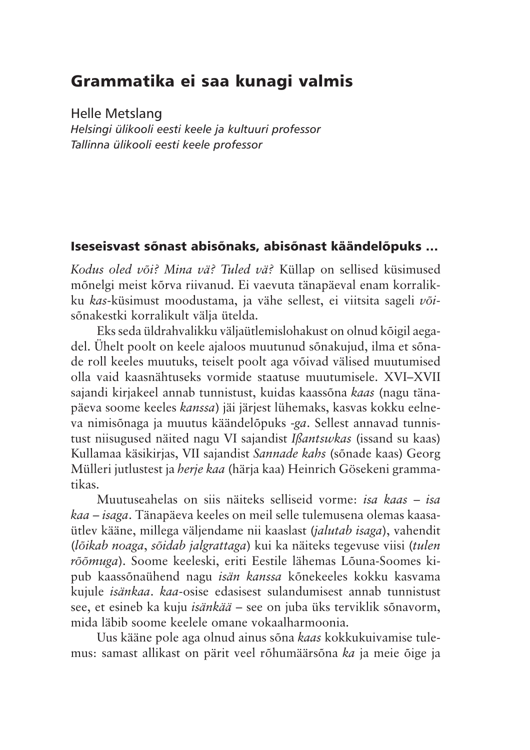# Grammatika ei saa kunagi valmis

**Helle Metslang** 

Helsingi ülikooli eesti keele ja kultuuri professor Tallinna ülikooli eesti keele professor

## Iseseisvast sõnast abisõnaks, abisõnast käändelõpuks ...

Kodus oled või? Mina vä? Tuled vä? Küllap on sellised küsimused mõnelgi meist kõrva riivanud. Ei vaevuta tänapäeval enam korralikku kas-küsimust moodustama, ja vähe sellest, ei viitsita sageli võisõnakestki korralikult välja ütelda.

Eks seda üldrahvalikku väljaütlemislohakust on olnud kõigil aegadel. Ühelt poolt on keele ajaloos muutunud sõnakujud, ilma et sõnade roll keeles muutuks, teiselt poolt aga võivad välised muutumised olla vaid kaasnähtuseks vormide staatuse muutumisele. XVI–XVII sajandi kirjakeel annab tunnistust, kuidas kaassõna kaas (nagu tänapäeva soome keeles kanssa) jäi järjest lühemaks, kasvas kokku eelneva nimisõnaga ja muutus käändelõpuks -ga. Sellest annavad tunnistust niisugused näited nagu VI sajandist Ißantswkas (issand su kaas) Kullamaa käsikirjas, VII sajandist Sannade kahs (sõnade kaas) Georg Mülleri jutlustest ja *herje kaa* (härja kaa) Heinrich Gösekeni grammatikas.

Muutuseahelas on siis näiteks selliseid vorme: *isa kaas – isa* kaa – isaga. Tänapäeva keeles on meil selle tulemusena olemas kaasaütlev kääne, millega väljendame nii kaaslast (*jalutab isaga*), vahendit (lõikab noaga, sõidab jalgrattaga) kui ka näiteks tegevuse viisi (tulen rõõmuga). Soome keeleski, eriti Eestile lähemas Lõuna-Soomes kipub kaassõnaühend nagu *isän kanssa* kõnekeeles kokku kasvama kujule *isänkaa, kaa-osise edasisest sulandumisest annab tunnistust* see, et esineb ka kuju *isänkää* – see on juba üks terviklik sõnavorm, mida läbib soome keelele omane vokaalharmoonia.

Uus kääne pole aga olnud ainus sõna kaas kokkukuivamise tulemus: samast allikast on pärit veel rõhumäärsõna ka ja meie õige ja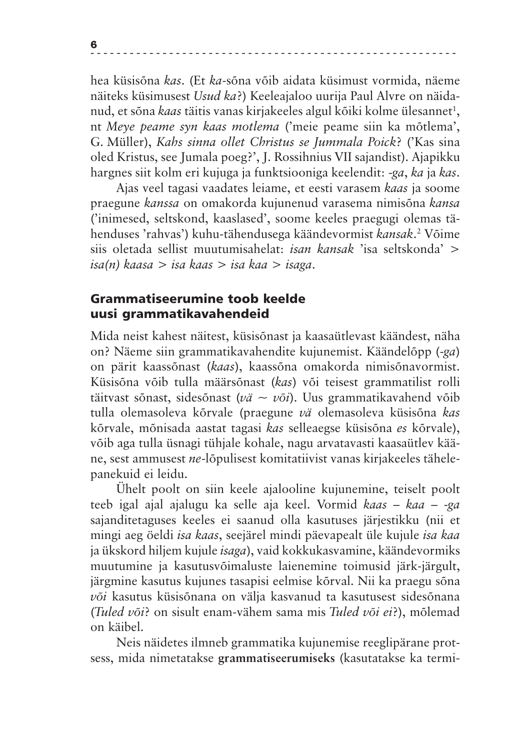hea küsisõna kas. (Et ka-sõna võib aidata küsimust vormida, näeme näiteks küsimusest Usud ka?) Keeleajaloo uurija Paul Alvre on näidanud, et sõna kaas täitis vanas kirjakeeles algul kõiki kolme ülesannet<sup>1</sup>, nt Meye peame syn kaas motlema ('meie peame siin ka mõtlema', G. Müller), Kahs sinna ollet Christus se Jummala Poick? ('Kas sina oled Kristus, see Jumala poeg?', J. Rossihnius VII sajandist). Ajapikku hargnes siit kolm eri kujuga ja funktsiooniga keelendit: -ga, ka ja kas.

Ajas veel tagasi vaadates leiame, et eesti varasem kaas ja soome praegune kanssa on omakorda kujunenud varasema nimisõna kansa ('inimesed, seltskond, kaaslased', soome keeles praegugi olemas tähenduses 'rahvas') kuhu-tähendusega käändevormist kansak.<sup>2</sup> Võime siis oletada sellist muutumisahelat: *isan kansak* 'isa seltskonda' > isa(n) kaasa > isa kaas > isa kaa > isaga.

### Grammatiseerumine toob keelde uusi grammatikavahendeid

Mida neist kahest näitest, küsisõnast ja kaasaütlevast käändest, näha on? Näeme siin grammatikavahendite kujunemist. Käändelõpp (-ga) on pärit kaassõnast (kaas), kaassõna omakorda nimisõnavormist. Küsisõna võib tulla määrsõnast (kas) või teisest grammatilist rolli täitvast sõnast, sidesõnast (vä ~ või). Uus grammatikavahend võib tulla olemasoleva kõrvale (praegune vä olemasoleva küsisõna kas kõrvale, mõnisada aastat tagasi kas selleaegse küsisõna es kõrvale), võib aga tulla üsnagi tühjale kohale, nagu arvatavasti kaasaütlev kääne, sest ammusest ne-lõpulisest komitatiivist vanas kirjakeeles tähelepanekuid ei leidu.

Ühelt poolt on siin keele ajalooline kujunemine, teiselt poolt teeb igal ajal ajalugu ka selle aja keel. Vormid kaas – kaa – -ga sajanditetaguses keeles ei saanud olla kasutuses järjestikku (nii et mingi aeg öeldi *isa kaas*, seejärel mindi päevapealt üle kujule *isa kaa* ja ükskord hiljem kujule isaga), vaid kokkukasvamine, käändevormiks muutumine ja kasutusvõimaluste laienemine toimusid järk-järgult, järgmine kasutus kujunes tasapisi eelmise kõrval. Nii ka praegu sõna või kasutus küsisõnana on välja kasvanud ta kasutusest sidesõnana (Tuled või? on sisult enam-vähem sama mis Tuled või ei?), mõlemad on käibel.

Neis näidetes ilmneb grammatika kujunemise reeglipärane protsess, mida nimetatakse grammatiseerumiseks (kasutatakse ka termi-

6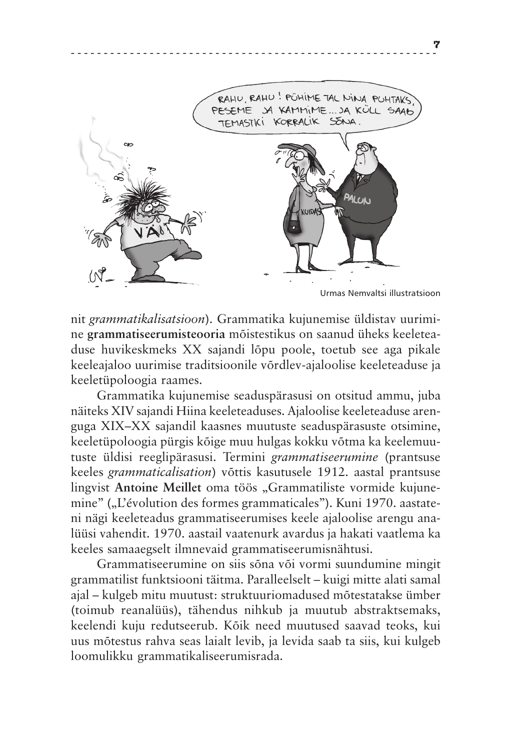

7

nit grammatikalisatsioon). Grammatika kujunemise üldistav uurimine grammatiseerumisteooria mõistestikus on saanud üheks keeleteaduse huvikeskmeks XX sajandi lõpu poole, toetub see aga pikale keeleajaloo uurimise traditsioonile võrdlev-ajaloolise keeleteaduse ja keeletüpoloogia raames.

Grammatika kujunemise seaduspärasusi on otsitud ammu, juba näiteks XIV sajandi Hiina keeleteaduses. Ajaloolise keeleteaduse arenguga XIX–XX sajandil kaasnes muutuste seaduspärasuste otsimine, keeletüpoloogia pürgis kõige muu hulgas kokku võtma ka keelemuutuste üldisi reeglipärasusi. Termini grammatiseerumine (prantsuse keeles grammaticalisation) võttis kasutusele 1912. aastal prantsuse lingvist Antoine Meillet oma töös "Grammatiliste vormide kujunemine" ("L'évolution des formes grammaticales"). Kuni 1970. aastateni nägi keeleteadus grammatiseerumises keele ajaloolise arengu analüüsi vahendit. 1970. aastail vaatenurk avardus ja hakati vaatlema ka keeles samaaegselt ilmnevaid grammatiseerumisnähtusi.

Grammatiseerumine on siis sõna või vormi suundumine mingit grammatilist funktsiooni täitma. Paralleelselt – kuigi mitte alati samal ajal – kulgeb mitu muutust: struktuuriomadused mõtestatakse ümber (toimub reanalüüs), tähendus nihkub ja muutub abstraktsemaks, keelendi kuju redutseerub. Kõik need muutused saavad teoks, kui uus mõtestus rahva seas laialt levib, ja levida saab ta siis, kui kulgeb loomulikku grammatikaliseerumisrada.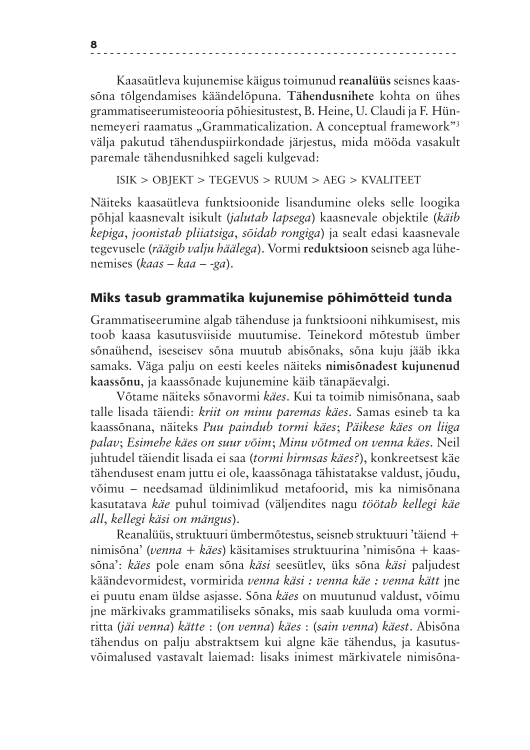Kaasaütleva kujunemise käigus toimunud reanalüüs seisnes kaassõna tõlgendamises käändelõpuna. Tähendusnihete kohta on ühes grammatiseerumisteooria põhiesitustest, B. Heine, U. Claudi ja F. Hünnemeyeri raamatus "Grammaticalization. A conceptual framework"<sup>3</sup> välja pakutud tähenduspiirkondade järjestus, mida mööda vasakult paremale tähendusnihked sageli kulgevad:

 $ISIK > OBJEKT > TEGEVUS > RUUM > AEG > KVALITEET$ 

Näiteks kaasaütleva funktsioonide lisandumine oleks selle loogika põhjal kaasnevalt isikult (jalutab lapsega) kaasnevale objektile (käib kepiga, joonistab pliiatsiga, sõidab rongiga) ja sealt edasi kaasnevale tegevusele (räägib valju häälega). Vormi reduktsioon seisneb aga lühenemises (kaas – kaa – -ga).

## Miks tasub grammatika kujunemise põhimõtteid tunda

Grammatiseerumine algab tähenduse ja funktsiooni nihkumisest, mis toob kaasa kasutusviiside muutumise. Teinekord mõtestub ümber sõnaühend, iseseisev sõna muutub abisõnaks, sõna kuju jääb ikka samaks. Väga palju on eesti keeles näiteks nimisõnadest kujunenud kaassõnu, ja kaassõnade kujunemine käib tänapäevalgi.

Võtame näiteks sõnavormi käes. Kui ta toimib nimisõnana, saab talle lisada täiendi: kriit on minu paremas käes. Samas esineb ta ka kaassõnana, näiteks Puu paindub tormi käes; Päikese käes on liiga palav; Esimehe käes on suur võim; Minu võtmed on venna käes. Neil juhtudel täiendit lisada ei saa (tormi hirmsas käes?), konkreetsest käe tähendusest enam juttu ei ole, kaassõnaga tähistatakse valdust, jõudu, võimu – needsamad üldinimlikud metafoorid, mis ka nimisõnana kasutatava käe puhul toimivad (väljendites nagu töötab kellegi käe all, kellegi käsi on mängus).

Reanalüüs, struktuuri ümbermõtestus, seisneb struktuuri 'täiend + nimisõna' (venna + käes) käsitamises struktuurina 'nimisõna + kaassõna': käes pole enam sõna käsi seesütlev, üks sõna käsi paljudest käändevormidest, vormirida venna käsi : venna käe : venna kätt jne ei puutu enam üldse asjasse. Sõna käes on muutunud valdust, võimu jne märkivaks grammatiliseks sõnaks, mis saab kuuluda oma vormiritta (jäi venna) kätte : (on venna) käes : (sain venna) käest. Abisõna tähendus on palju abstraktsem kui algne käe tähendus, ja kasutusvõimalused vastavalt laiemad: lisaks inimest märkivatele nimisõna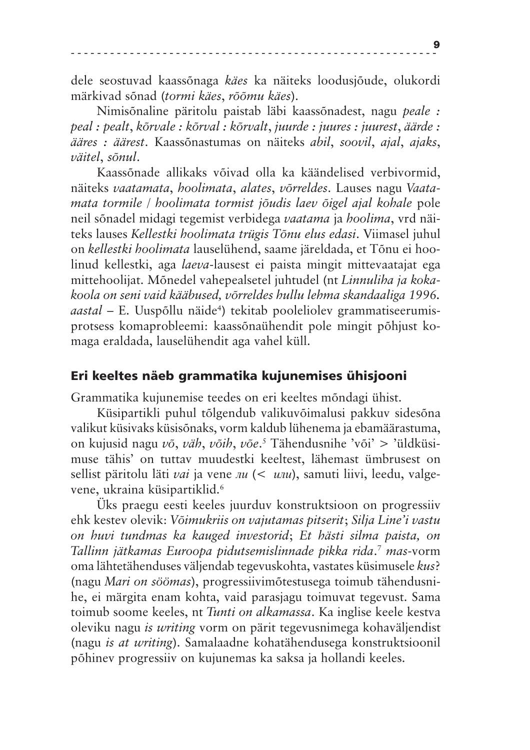dele seostuvad kaassõnaga käes ka näiteks loodusjõude, olukordi märkivad sõnad (tormi käes, rõõmu käes).

Nimisõnaline päritolu paistab läbi kaassõnadest, nagu peale : peal : pealt, kõrvale : kõrval : kõrvalt, juurde : juures : juurest, äärde : ääres: äärest. Kaassõnastumas on näiteks abil, soovil, ajal, ajaks, väitel, sõnul.

Kaassõnade allikaks võivad olla ka käändelised verbivormid, näiteks vaatamata, hoolimata, alates, võrreldes. Lauses nagu Vaatamata tormile / hoolimata tormist jõudis laev õigel ajal kohale pole neil sõnadel midagi tegemist verbidega vaatama ja hoolima, vrd näiteks lauses Kellestki hoolimata trügis Tõnu elus edasi. Viimasel juhul on kellestki hoolimata lauselühend, saame järeldada, et Tõnu ei hoolinud kellestki, aga laeva-lausest ei paista mingit mittevaatajat ega mittehoolijat. Mõnedel vahepealsetel juhtudel (nt Linnuliha ja kokakoola on seni vaid kääbused, võrreldes hullu lehma skandaaliga 1996. *aastal* – E. Uuspõllu näide<sup>4</sup>) tekitab pooleliolev grammatiseerumisprotsess komaprobleemi: kaassõnaühendit pole mingit põhjust komaga eraldada, lauselühendit aga vahel küll.

#### Eri keeltes näeb grammatika kujunemises ühisjooni

Grammatika kujunemise teedes on eri keeltes mõndagi ühist.

Küsipartikli puhul tõlgendub valikuvõimalusi pakkuv sidesõna valikut küsivaks küsisõnaks, vorm kaldub lühenema ja ebamäärastuma, on kujusid nagu võ, väh, võih, võe.<sup>5</sup> Tähendusnihe 'või' > 'üldküsimuse tähis' on tuttav muudestki keeltest, lähemast ümbrusest on sellist päritolu läti *vai* ja vene *nu*  $(<$  *unu*), samuti liivi, leedu, valgevene, ukraina küsipartiklid.<sup>6</sup>

Uks praegu eesti keeles juurduv konstruktsioon on progressiiv ehk kestev olevik: Võimukriis on vajutamas pitserit; Silja Line'i vastu on huvi tundmas ka kauged investorid; Et hästi silma paista, on Tallinn jätkamas Euroopa pidutsemislinnade pikka rida.<sup>7</sup> mas-vorm oma lähtetähenduses väljendab tegevuskohta, vastates küsimusele kus? (nagu Mari on söömas), progressiivimõtestusega toimub tähendusnihe, ei märgita enam kohta, vaid parasjagu toimuvat tegevust. Sama toimub soome keeles, nt Tunti on alkamassa. Ka inglise keele kestva oleviku nagu *is writing* vorm on pärit tegevusnimega kohaväljendist (nagu is at writing). Samalaadne kohatähendusega konstruktsioonil põhinev progressiiv on kujunemas ka saksa ja hollandi keeles.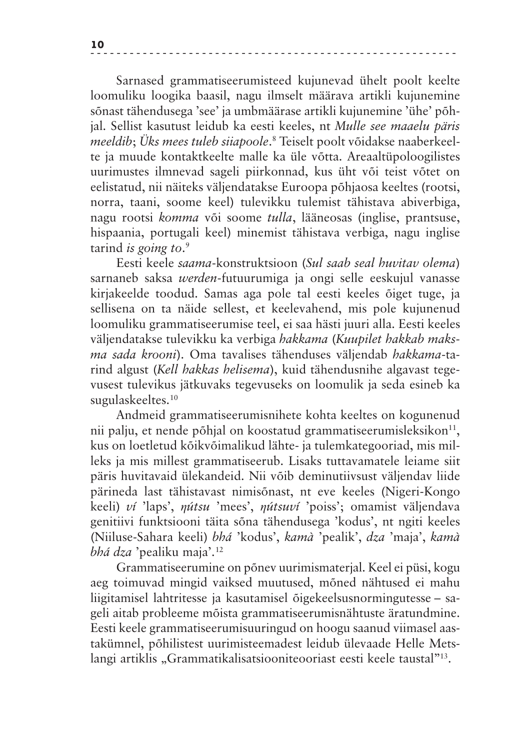Sarnased grammatiseerumisteed kujunevad ühelt poolt keelte loomuliku loogika baasil, nagu ilmselt määrava artikli kujunemine sõnast tähendusega 'see' ja umbmäärase artikli kujunemine 'ühe' põhjal. Sellist kasutust leidub ka eesti keeles, nt Mulle see maaelu päris *meeldib*; Üks mees tuleb sijapoole.<sup>8</sup> Teiselt poolt võidakse naaberkeelte ja muude kontaktkeelte malle ka üle võtta. Areaaltüpoloogilistes uurimustes ilmnevad sageli piirkonnad, kus üht või teist võtet on eelistatud, nii näiteks väljendatakse Euroopa põhjaosa keeltes (rootsi, norra, taani, soome keel) tulevikku tulemist tähistava abiverbiga, nagu rootsi komma või soome tulla, lääneosas (inglise, prantsuse, hispaania, portugali keel) minemist tähistava verbiga, nagu inglise tarind is going to. $9$ 

Eesti keele saama-konstruktsioon (Sul saab seal huvitav olema) sarnaneb saksa *werden*-futuurumiga ja ongi selle eeskujul vanasse kirjakeelde toodud. Samas aga pole tal eesti keeles õiget tuge, ja sellisena on ta näide sellest, et keelevahend, mis pole kujunenud loomuliku grammatiseerumise teel, ei saa hästi juuri alla. Eesti keeles väljendatakse tulevikku ka verbiga hakkama (Kuupilet hakkab maks*ma sada krooni*). Oma tavalises tähenduses väljendab hakkama-tarind algust (Kell hakkas helisema), kuid tähendusnihe algavast tegevusest tulevikus jätkuvaks tegevuseks on loomulik ja seda esineb ka sugulaskeeltes.<sup>10</sup>

Andmeid grammatiseerumisnihete kohta keeltes on kogunenud nii palju, et nende põhjal on koostatud grammatiseerumisleksikon<sup>11</sup>, kus on loetletud kõikvõimalikud lähte- ja tulemkategooriad, mis milleks ja mis millest grammatiseerub. Lisaks tuttavamatele leiame siit päris huvitavaid ülekandeid. Nii võib deminutiivsust väljendav liide pärineda last tähistavast nimisõnast, nt eve keeles (Nigeri-Kongo keeli) ví 'laps', nútsu 'mees', nútsuví 'poiss'; omamist väljendava genitiivi funktsiooni täita sõna tähendusega 'kodus', nt ngiti keeles (Niiluse-Sahara keeli) bhá 'kodus', kamà 'pealik', dza 'maja', kamà *bhá dza* 'pealiku maja'.<sup>12</sup>

Grammatiseerumine on põnev uurimismaterjal. Keel ei püsi, kogu aeg toimuvad mingid vaiksed muutused, mõned nähtused ei mahu liigitamisel lahtritesse ja kasutamisel õigekeelsusnormingutesse – sageli aitab probleeme mõista grammatiseerumisnähtuste äratundmine. Eesti keele grammatiseerumisuuringud on hoogu saanud viimasel aastakümnel, põhilistest uurimisteemadest leidub ülevaade Helle Metslangi artiklis "Grammatikalisatsiooniteooriast eesti keele taustal"<sup>13</sup>.